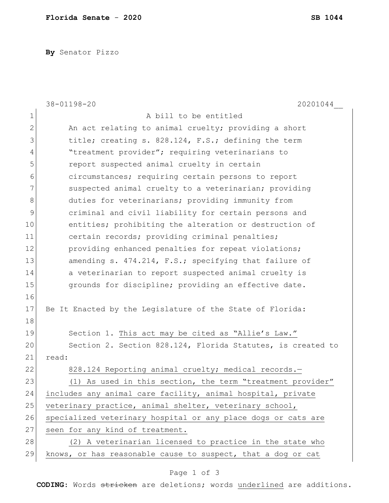**By** Senator Pizzo

|              | 38-01198-20<br>20201044                                       |
|--------------|---------------------------------------------------------------|
| 1            | A bill to be entitled                                         |
| $\mathbf{2}$ | An act relating to animal cruelty; providing a short          |
| 3            | title; creating s. 828.124, F.S.; defining the term           |
| 4            | "treatment provider"; requiring veterinarians to              |
| 5            | report suspected animal cruelty in certain                    |
| 6            | circumstances; requiring certain persons to report            |
| 7            | suspected animal cruelty to a veterinarian; providing         |
| 8            | duties for veterinarians; providing immunity from             |
| 9            | criminal and civil liability for certain persons and          |
| 10           | entities; prohibiting the alteration or destruction of        |
| 11           | certain records; providing criminal penalties;                |
| 12           | providing enhanced penalties for repeat violations;           |
| 13           | amending s. 474.214, F.S.; specifying that failure of         |
| 14           | a veterinarian to report suspected animal cruelty is          |
| 15           | grounds for discipline; providing an effective date.          |
| 16           |                                                               |
| 17           | Be It Enacted by the Legislature of the State of Florida:     |
| 18           |                                                               |
| 19           | Section 1. This act may be cited as "Allie's Law."            |
| 20           | Section 2. Section 828.124, Florida Statutes, is created to   |
| 21           | read:                                                         |
| 22           | 828.124 Reporting animal cruelty; medical records.-           |
| 23           | (1) As used in this section, the term "treatment provider"    |
| 24           | includes any animal care facility, animal hospital, private   |
| 25           | veterinary practice, animal shelter, veterinary school,       |
| 26           | specialized veterinary hospital or any place dogs or cats are |
| 27           | seen for any kind of treatment.                               |
| 28           | (2) A veterinarian licensed to practice in the state who      |
| 29           | knows, or has reasonable cause to suspect, that a dog or cat  |

## Page 1 of 3

**CODING**: Words stricken are deletions; words underlined are additions.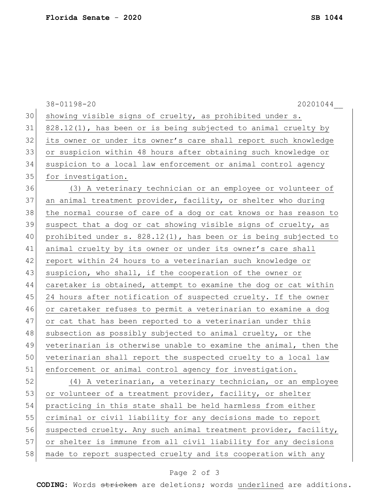|    | 38-01198-20<br>20201044                                          |
|----|------------------------------------------------------------------|
| 30 | showing visible signs of cruelty, as prohibited under s.         |
| 31 | 828.12(1), has been or is being subjected to animal cruelty by   |
| 32 | its owner or under its owner's care shall report such knowledge  |
| 33 | or suspicion within 48 hours after obtaining such knowledge or   |
| 34 | suspicion to a local law enforcement or animal control agency    |
| 35 | for investigation.                                               |
| 36 | (3) A veterinary technician or an employee or volunteer of       |
| 37 | an animal treatment provider, facility, or shelter who during    |
| 38 | the normal course of care of a dog or cat knows or has reason to |
| 39 | suspect that a dog or cat showing visible signs of cruelty, as   |
| 40 | prohibited under s. 828.12(1), has been or is being subjected to |
| 41 | animal cruelty by its owner or under its owner's care shall      |
| 42 | report within 24 hours to a veterinarian such knowledge or       |
| 43 | suspicion, who shall, if the cooperation of the owner or         |
| 44 | caretaker is obtained, attempt to examine the dog or cat within  |
| 45 | 24 hours after notification of suspected cruelty. If the owner   |
| 46 | or caretaker refuses to permit a veterinarian to examine a dog   |
| 47 | or cat that has been reported to a veterinarian under this       |
| 48 | subsection as possibly subjected to animal cruelty, or the       |
| 49 | veterinarian is otherwise unable to examine the animal, then the |
| 50 | veterinarian shall report the suspected cruelty to a local law   |
| 51 | enforcement or animal control agency for investigation.          |
| 52 | (4) A veterinarian, a veterinary technician, or an employee      |
| 53 | or volunteer of a treatment provider, facility, or shelter       |
| 54 | practicing in this state shall be held harmless from either      |
| 55 | criminal or civil liability for any decisions made to report     |
| 56 | suspected cruelty. Any such animal treatment provider, facility, |
| 57 | or shelter is immune from all civil liability for any decisions  |
| 58 | made to report suspected cruelty and its cooperation with any    |

## Page 2 of 3

**CODING**: Words stricken are deletions; words underlined are additions.